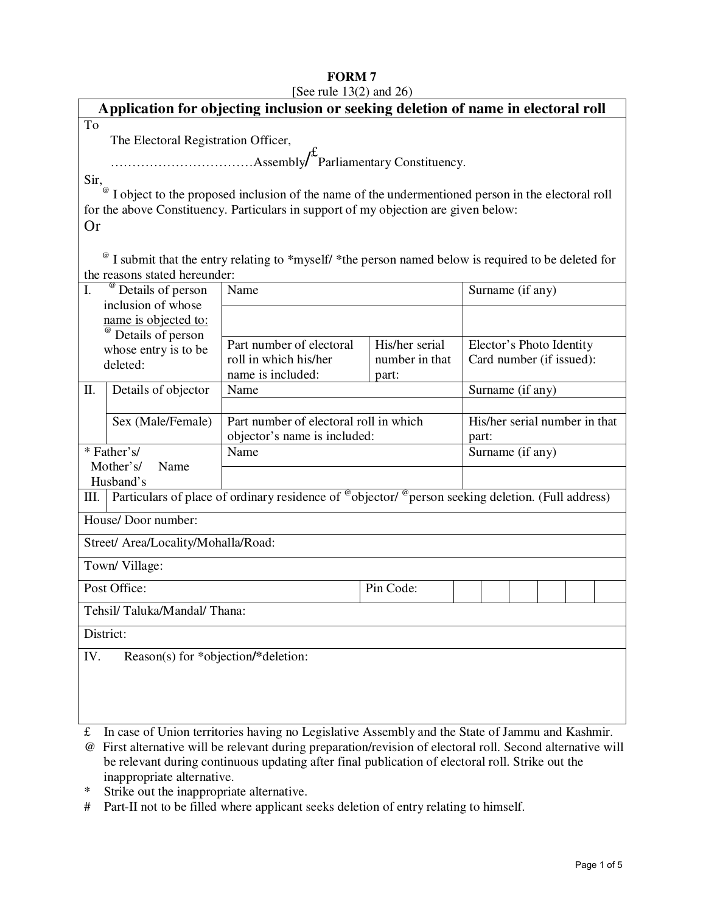# **FORM 7**

| [See rule $13(2)$ and $26$ )                                                                                                    |                                                                                                    |                                            |                                        |                          |  |  |  |
|---------------------------------------------------------------------------------------------------------------------------------|----------------------------------------------------------------------------------------------------|--------------------------------------------|----------------------------------------|--------------------------|--|--|--|
| Application for objecting inclusion or seeking deletion of name in electoral roll                                               |                                                                                                    |                                            |                                        |                          |  |  |  |
| To                                                                                                                              |                                                                                                    |                                            |                                        |                          |  |  |  |
| The Electoral Registration Officer,                                                                                             |                                                                                                    |                                            |                                        |                          |  |  |  |
|                                                                                                                                 |                                                                                                    |                                            |                                        |                          |  |  |  |
| Sir,                                                                                                                            |                                                                                                    |                                            |                                        |                          |  |  |  |
| I object to the proposed inclusion of the name of the undermentioned person in the electoral roll                               |                                                                                                    |                                            |                                        |                          |  |  |  |
| for the above Constituency. Particulars in support of my objection are given below:                                             |                                                                                                    |                                            |                                        |                          |  |  |  |
| <b>Or</b>                                                                                                                       |                                                                                                    |                                            |                                        |                          |  |  |  |
|                                                                                                                                 | I submit that the entry relating to *myself/ *the person named below is required to be deleted for |                                            |                                        |                          |  |  |  |
| the reasons stated hereunder:                                                                                                   |                                                                                                    |                                            |                                        |                          |  |  |  |
| $\mathbf{I}$ .                                                                                                                  | <sup>@</sup> Details of person                                                                     | Name                                       |                                        | Surname (if any)         |  |  |  |
|                                                                                                                                 | inclusion of whose<br>name is objected to:                                                         |                                            |                                        |                          |  |  |  |
|                                                                                                                                 | Details of person                                                                                  |                                            |                                        |                          |  |  |  |
|                                                                                                                                 | whose entry is to be                                                                               | Part number of electoral                   | His/her serial                         | Elector's Photo Identity |  |  |  |
| deleted:                                                                                                                        |                                                                                                    | roll in which his/her<br>name is included: | number in that<br>part:                | Card number (if issued): |  |  |  |
| Π.                                                                                                                              | Details of objector                                                                                | Name                                       |                                        | Surname (if any)         |  |  |  |
|                                                                                                                                 |                                                                                                    |                                            |                                        |                          |  |  |  |
|                                                                                                                                 | Sex (Male/Female)                                                                                  |                                            | Part number of electoral roll in which |                          |  |  |  |
|                                                                                                                                 |                                                                                                    | objector's name is included:               |                                        | part:                    |  |  |  |
| * Father's/<br>Mother's/                                                                                                        |                                                                                                    | Name                                       |                                        | Surname (if any)         |  |  |  |
| Name<br>Husband's                                                                                                               |                                                                                                    |                                            |                                        |                          |  |  |  |
| Particulars of place of ordinary residence of <sup>@</sup> objector/ <sup>@</sup> person seeking deletion. (Full address)<br>Ш. |                                                                                                    |                                            |                                        |                          |  |  |  |
| House/Door number:                                                                                                              |                                                                                                    |                                            |                                        |                          |  |  |  |
|                                                                                                                                 | Street/ Area/Locality/Mohalla/Road:                                                                |                                            |                                        |                          |  |  |  |
| Town/Village:                                                                                                                   |                                                                                                    |                                            |                                        |                          |  |  |  |
| Post Office:<br>Pin Code:                                                                                                       |                                                                                                    |                                            |                                        |                          |  |  |  |
| Tehsil/Taluka/Mandal/Thana:                                                                                                     |                                                                                                    |                                            |                                        |                          |  |  |  |
|                                                                                                                                 |                                                                                                    |                                            |                                        |                          |  |  |  |
| District:                                                                                                                       |                                                                                                    |                                            |                                        |                          |  |  |  |
| Reason(s) for *objection/*deletion:<br>IV.                                                                                      |                                                                                                    |                                            |                                        |                          |  |  |  |
|                                                                                                                                 |                                                                                                    |                                            |                                        |                          |  |  |  |
|                                                                                                                                 |                                                                                                    |                                            |                                        |                          |  |  |  |
|                                                                                                                                 |                                                                                                    |                                            |                                        |                          |  |  |  |

£ In case of Union territories having no Legislative Assembly and the State of Jammu and Kashmir.

@ First alternative will be relevant during preparation/revision of electoral roll. Second alternative will be relevant during continuous updating after final publication of electoral roll. Strike out the inappropriate alternative.

\* Strike out the inappropriate alternative.

# Part-II not to be filled where applicant seeks deletion of entry relating to himself.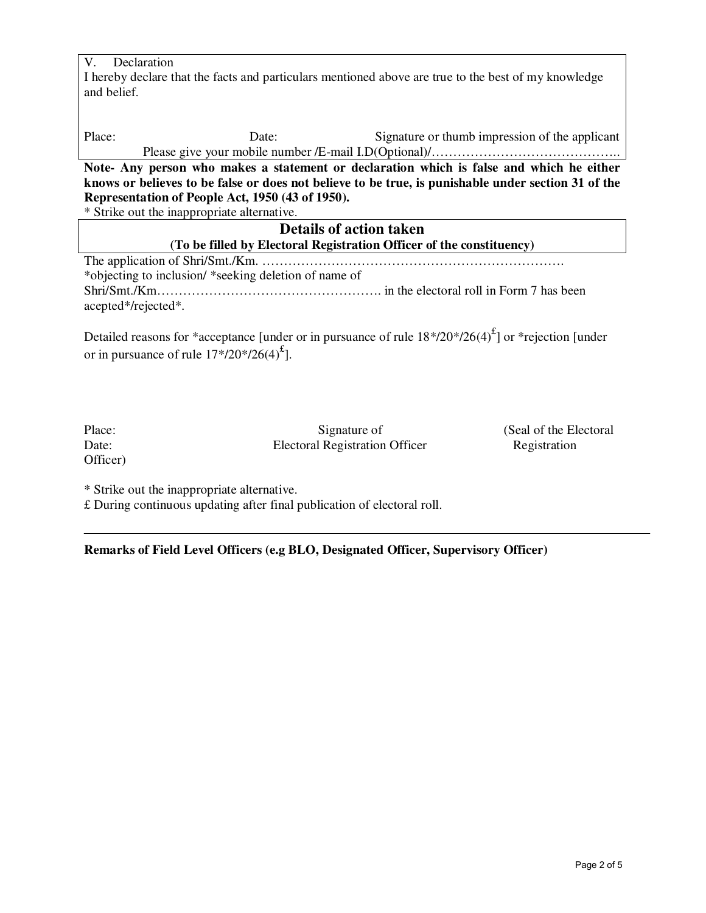| V.                                                                                                   | Declaration                                             |  |  |  |  |  |
|------------------------------------------------------------------------------------------------------|---------------------------------------------------------|--|--|--|--|--|
| I hereby declare that the facts and particulars mentioned above are true to the best of my knowledge |                                                         |  |  |  |  |  |
| and belief.                                                                                          |                                                         |  |  |  |  |  |
|                                                                                                      |                                                         |  |  |  |  |  |
|                                                                                                      |                                                         |  |  |  |  |  |
| Place:                                                                                               | Signature or thumb impression of the applicant<br>Date: |  |  |  |  |  |
|                                                                                                      |                                                         |  |  |  |  |  |
| Note- Any person who makes a statement or declaration which is false and which he either             |                                                         |  |  |  |  |  |
| knows or believes to be false or does not believe to be true, is punishable under section 31 of the  |                                                         |  |  |  |  |  |
| Representation of People Act, 1950 (43 of 1950).                                                     |                                                         |  |  |  |  |  |
| * Strike out the inappropriate alternative.                                                          |                                                         |  |  |  |  |  |
| <b>Details of action taken</b>                                                                       |                                                         |  |  |  |  |  |
| (To be filled by Electoral Registration Officer of the constituency)                                 |                                                         |  |  |  |  |  |
|                                                                                                      |                                                         |  |  |  |  |  |
| *objecting to inclusion/ *seeking deletion of name of                                                |                                                         |  |  |  |  |  |
|                                                                                                      |                                                         |  |  |  |  |  |

Shri/Smt./Km……………………………………………. in the electoral roll in Form 7 has been acepted\*/rejected\*.

Detailed reasons for \*acceptance [under or in pursuance of rule  $18*/20*/26(4)^{f}$ ] or \*rejection [under or in pursuance of rule  $17*/20*/26(4)^{\text{f}}$ ].

| Place:   |  |
|----------|--|
| Date:    |  |
| Officer) |  |

Electoral Registration Officer

Signature of (Seal of the Electoral<br>
1 Registration Officer Registration

\* Strike out the inappropriate alternative.

£ During continuous updating after final publication of electoral roll.

**Remarks of Field Level Officers (e.g BLO, Designated Officer, Supervisory Officer)**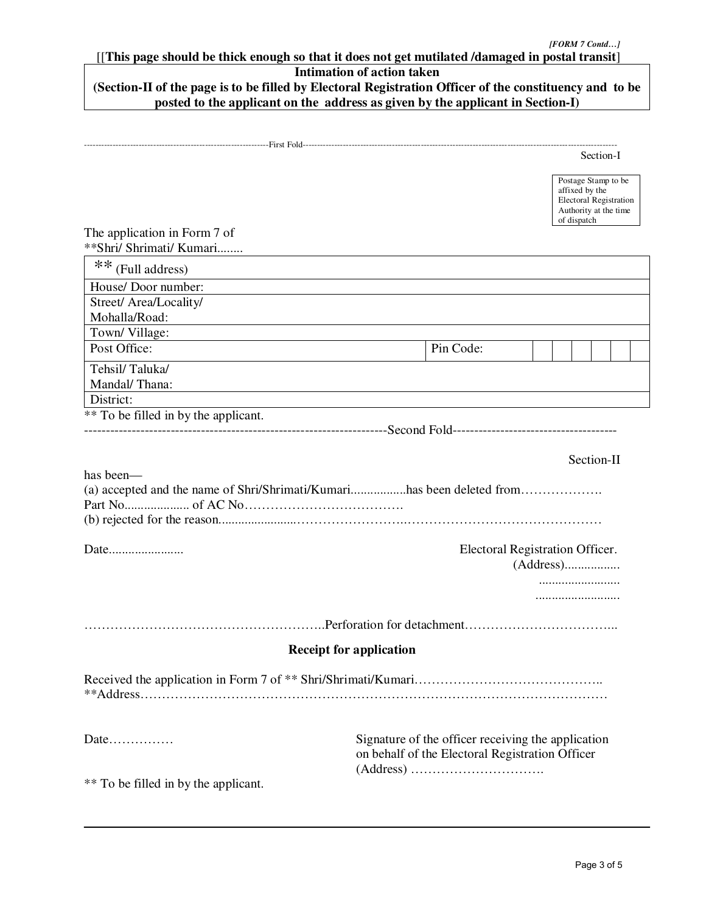## [[**This page should be thick enough so that it does not get mutilated /damaged in postal transit**]

# **Intimation of action taken**

### **(Section-II of the page is to be filled by Electoral Registration Officer of the constituency and to be posted to the applicant on the address as given by the applicant in Section-I)**

|                                         | Section-I                                                                                                      |  |  |  |  |
|-----------------------------------------|----------------------------------------------------------------------------------------------------------------|--|--|--|--|
|                                         | Postage Stamp to be<br>affixed by the<br><b>Electoral Registration</b><br>Authority at the time<br>of dispatch |  |  |  |  |
| The application in Form 7 of            |                                                                                                                |  |  |  |  |
| **Shri/ Shrimati/ Kumari                |                                                                                                                |  |  |  |  |
| ** (Full address)                       |                                                                                                                |  |  |  |  |
| House/Door number:                      |                                                                                                                |  |  |  |  |
| Street/ Area/Locality/<br>Mohalla/Road: |                                                                                                                |  |  |  |  |
| Town/Village:                           |                                                                                                                |  |  |  |  |
| Post Office:                            | Pin Code:                                                                                                      |  |  |  |  |
| Tehsil/Taluka/                          |                                                                                                                |  |  |  |  |
| Mandal/Thana:                           |                                                                                                                |  |  |  |  |
| District:                               |                                                                                                                |  |  |  |  |
| ** To be filled in by the applicant.    |                                                                                                                |  |  |  |  |
|                                         |                                                                                                                |  |  |  |  |
|                                         | Section-II                                                                                                     |  |  |  |  |
| has been—                               |                                                                                                                |  |  |  |  |
|                                         |                                                                                                                |  |  |  |  |
|                                         |                                                                                                                |  |  |  |  |
|                                         |                                                                                                                |  |  |  |  |
|                                         | Electoral Registration Officer.                                                                                |  |  |  |  |
|                                         |                                                                                                                |  |  |  |  |
|                                         |                                                                                                                |  |  |  |  |
|                                         |                                                                                                                |  |  |  |  |
|                                         |                                                                                                                |  |  |  |  |
|                                         | <b>Receipt for application</b>                                                                                 |  |  |  |  |
|                                         |                                                                                                                |  |  |  |  |
|                                         |                                                                                                                |  |  |  |  |
|                                         |                                                                                                                |  |  |  |  |
| Date                                    | Signature of the officer receiving the application                                                             |  |  |  |  |
|                                         | on behalf of the Electoral Registration Officer                                                                |  |  |  |  |
|                                         |                                                                                                                |  |  |  |  |
| ** To be filled in by the applicant.    |                                                                                                                |  |  |  |  |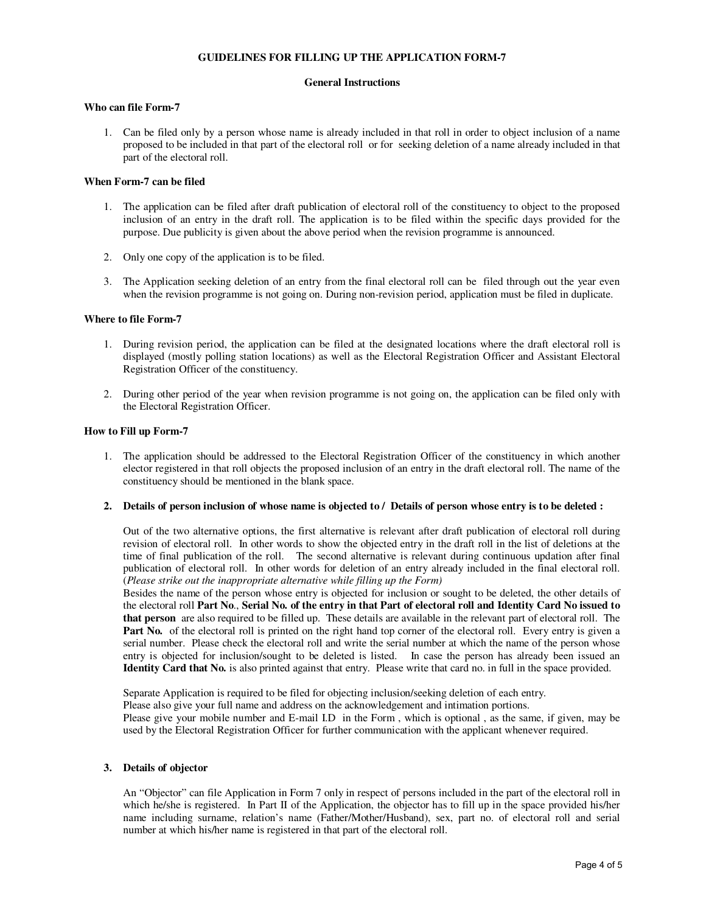#### **GUIDELINES FOR FILLING UP THE APPLICATION FORM-7**

#### **General Instructions**

#### **Who can file Form-7**

1. Can be filed only by a person whose name is already included in that roll in order to object inclusion of a name proposed to be included in that part of the electoral roll or for seeking deletion of a name already included in that part of the electoral roll.

#### **When Form-7 can be filed**

- 1. The application can be filed after draft publication of electoral roll of the constituency to object to the proposed inclusion of an entry in the draft roll. The application is to be filed within the specific days provided for the purpose. Due publicity is given about the above period when the revision programme is announced.
- 2. Only one copy of the application is to be filed.
- 3. The Application seeking deletion of an entry from the final electoral roll can be filed through out the year even when the revision programme is not going on. During non-revision period, application must be filed in duplicate.

#### **Where to file Form-7**

- 1. During revision period, the application can be filed at the designated locations where the draft electoral roll is displayed (mostly polling station locations) as well as the Electoral Registration Officer and Assistant Electoral Registration Officer of the constituency.
- 2. During other period of the year when revision programme is not going on, the application can be filed only with the Electoral Registration Officer.

#### **How to Fill up Form-7**

1. The application should be addressed to the Electoral Registration Officer of the constituency in which another elector registered in that roll objects the proposed inclusion of an entry in the draft electoral roll. The name of the constituency should be mentioned in the blank space.

#### **2. Details of person inclusion of whose name is objected to / Details of person whose entry is to be deleted :**

Out of the two alternative options, the first alternative is relevant after draft publication of electoral roll during revision of electoral roll. In other words to show the objected entry in the draft roll in the list of deletions at the time of final publication of the roll. The second alternative is relevant during continuous updation after final publication of electoral roll. In other words for deletion of an entry already included in the final electoral roll. (*Please strike out the inappropriate alternative while filling up the Form)*

Besides the name of the person whose entry is objected for inclusion or sought to be deleted, the other details of the electoral roll **Part No**., **Serial No. of the entry in that Part of electoral roll and Identity Card No issued to that person** are also required to be filled up. These details are available in the relevant part of electoral roll. The **Part No.** of the electoral roll is printed on the right hand top corner of the electoral roll. Every entry is given a serial number. Please check the electoral roll and write the serial number at which the name of the person whose entry is objected for inclusion/sought to be deleted is listed. In case the person has already been issued an **Identity Card that No.** is also printed against that entry. Please write that card no. in full in the space provided.

Separate Application is required to be filed for objecting inclusion/seeking deletion of each entry. Please also give your full name and address on the acknowledgement and intimation portions. Please give your mobile number and E-mail I.D in the Form , which is optional , as the same, if given, may be used by the Electoral Registration Officer for further communication with the applicant whenever required.

#### **3. Details of objector**

An "Objector" can file Application in Form 7 only in respect of persons included in the part of the electoral roll in which he/she is registered. In Part II of the Application, the objector has to fill up in the space provided his/her name including surname, relation's name (Father/Mother/Husband), sex, part no. of electoral roll and serial number at which his/her name is registered in that part of the electoral roll.